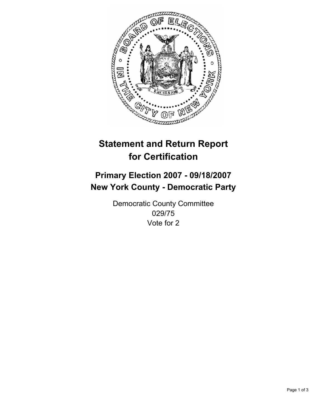

# **Statement and Return Report for Certification**

## **Primary Election 2007 - 09/18/2007 New York County - Democratic Party**

Democratic County Committee 029/75 Vote for 2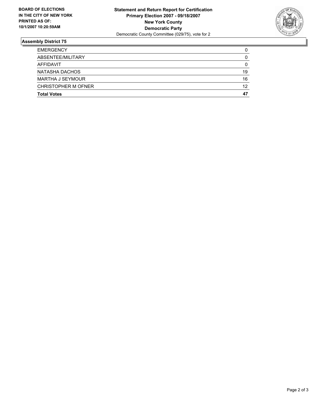

### **Assembly District 75**

| <b>EMERGENCY</b>           |    |
|----------------------------|----|
| ABSENTEE/MILITARY          | U  |
| AFFIDAVIT                  |    |
| NATASHA DACHOS             | 19 |
| <b>MARTHA J SEYMOUR</b>    | 16 |
| <b>CHRISTOPHER M OFNER</b> | 12 |
| <b>Total Votes</b>         | 47 |